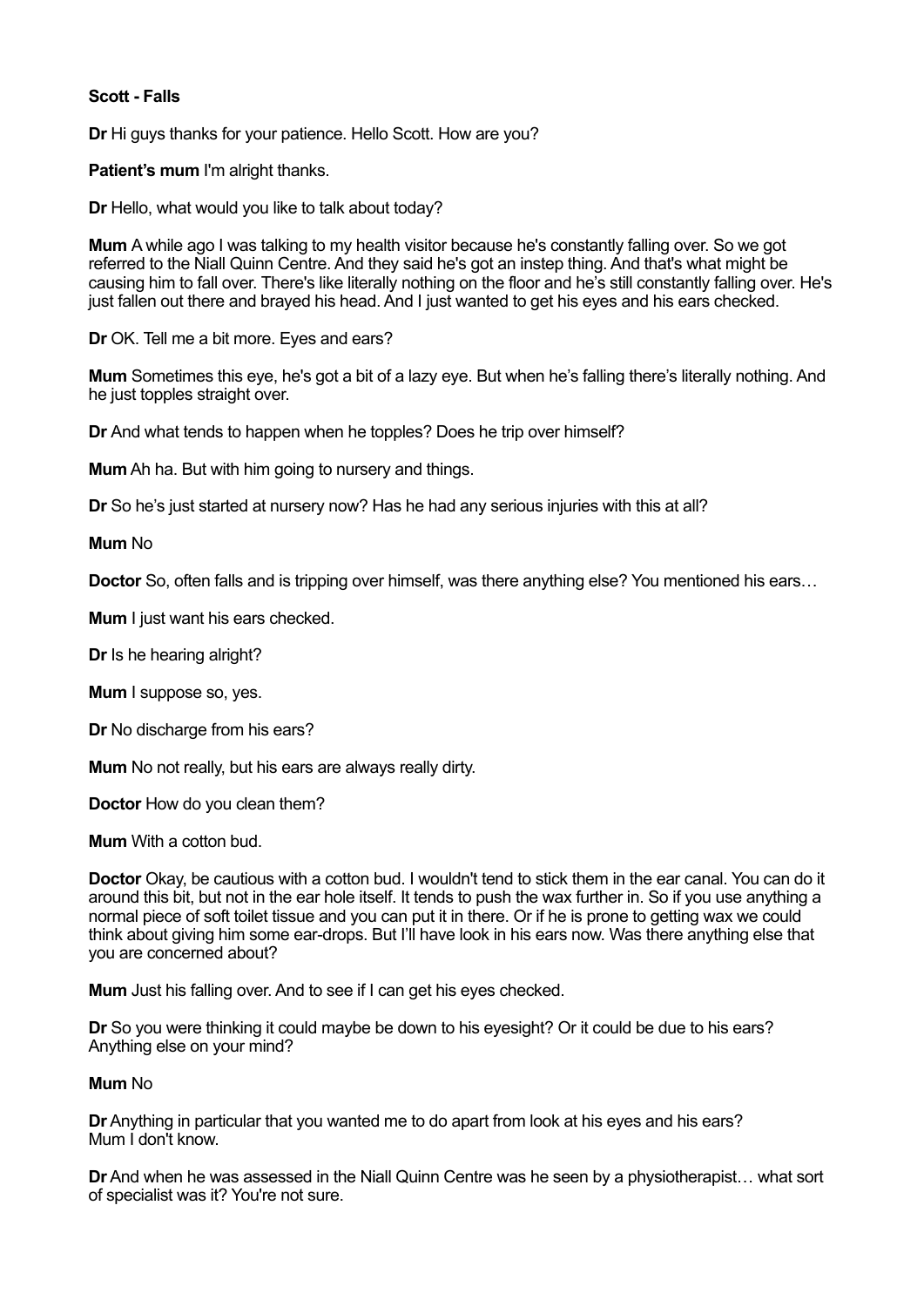## **Scott - Falls**

**Dr** Hi guys thanks for your patience. Hello Scott. How are you?

**Patient's mum** I'm alright thanks.

**Dr** Hello, what would you like to talk about today?

**Mum** A while ago I was talking to my health visitor because he's constantly falling over. So we got referred to the Niall Quinn Centre. And they said he's got an instep thing. And that's what might be causing him to fall over. There's like literally nothing on the floor and he's still constantly falling over. He's just fallen out there and brayed his head. And I just wanted to get his eyes and his ears checked.

**Dr** OK. Tell me a bit more. Eyes and ears?

**Mum** Sometimes this eye, he's got a bit of a lazy eye. But when he's falling there's literally nothing. And he just topples straight over.

**Dr** And what tends to happen when he topples? Does he trip over himself?

**Mum** Ah ha. But with him going to nursery and things.

**Dr** So he's just started at nursery now? Has he had any serious injuries with this at all?

**Mum** No

**Doctor** So, often falls and is tripping over himself, was there anything else? You mentioned his ears…

**Mum** I just want his ears checked.

**Dr** Is he hearing alright?

**Mum** I suppose so, yes.

**Dr** No discharge from his ears?

**Mum** No not really, but his ears are always really dirty.

**Doctor** How do you clean them?

**Mum** With a cotton bud.

**Doctor** Okay, be cautious with a cotton bud. I wouldn't tend to stick them in the ear canal. You can do it around this bit, but not in the ear hole itself. It tends to push the wax further in. So if you use anything a normal piece of soft toilet tissue and you can put it in there. Or if he is prone to getting wax we could think about giving him some ear-drops. But I'll have look in his ears now. Was there anything else that you are concerned about?

**Mum** Just his falling over. And to see if I can get his eyes checked.

**Dr** So you were thinking it could maybe be down to his eyesight? Or it could be due to his ears? Anything else on your mind?

## **Mum** No

**Dr** Anything in particular that you wanted me to do apart from look at his eyes and his ears? Mum I don't know.

**Dr** And when he was assessed in the Niall Quinn Centre was he seen by a physiotherapist… what sort of specialist was it? You're not sure.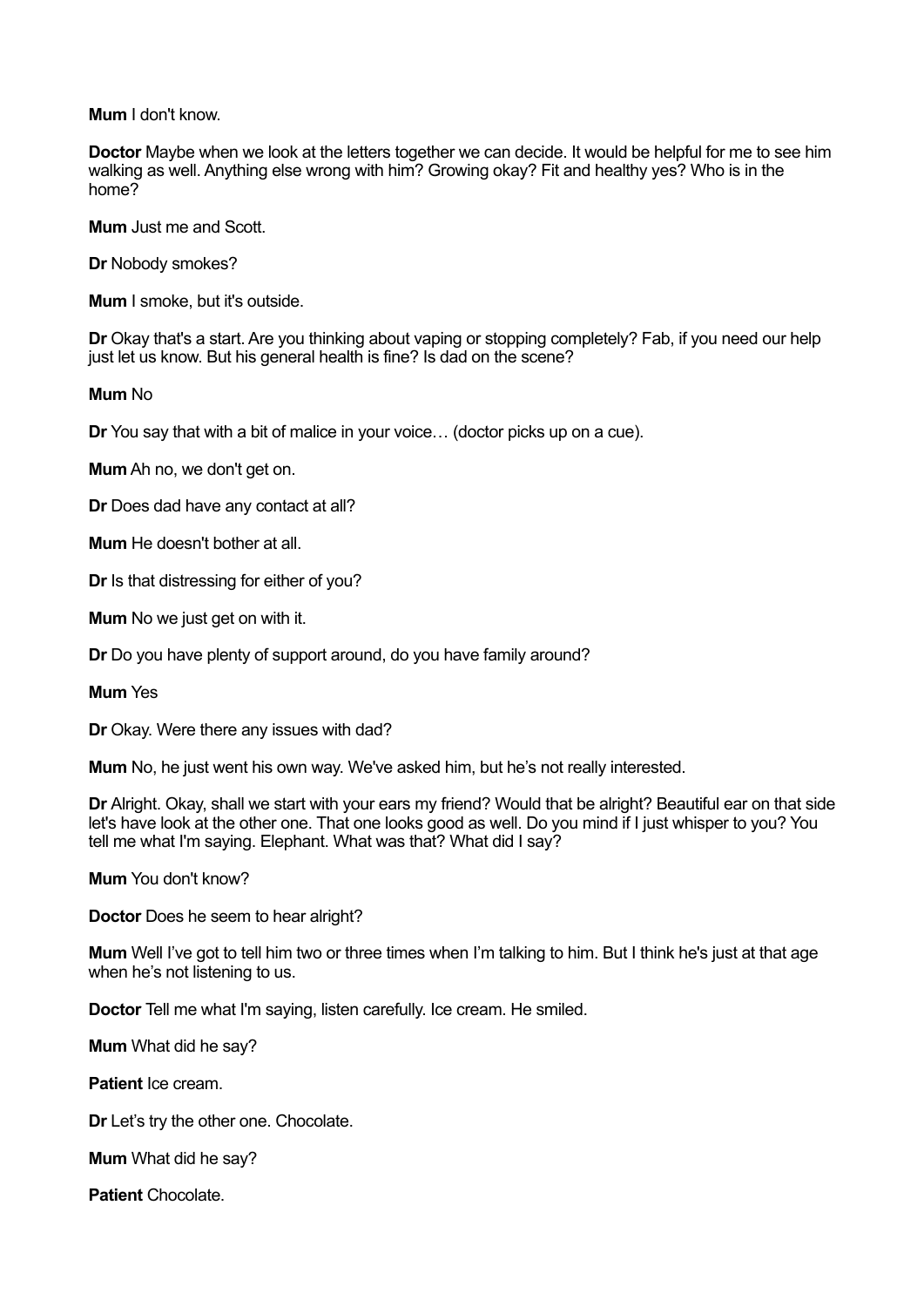**Mum** I don't know.

**Doctor** Maybe when we look at the letters together we can decide. It would be helpful for me to see him walking as well. Anything else wrong with him? Growing okay? Fit and healthy yes? Who is in the home?

**Mum** Just me and Scott.

**Dr** Nobody smokes?

**Mum** I smoke, but it's outside.

**Dr** Okay that's a start. Are you thinking about vaping or stopping completely? Fab, if you need our help just let us know. But his general health is fine? Is dad on the scene?

## **Mum** No

**Dr** You say that with a bit of malice in your voice… (doctor picks up on a cue).

**Mum** Ah no, we don't get on.

**Dr** Does dad have any contact at all?

**Mum** He doesn't bother at all.

**Dr** Is that distressing for either of you?

**Mum** No we just get on with it.

**Dr** Do you have plenty of support around, do you have family around?

**Mum** Yes

**Dr** Okay. Were there any issues with dad?

**Mum** No, he just went his own way. We've asked him, but he's not really interested.

**Dr** Alright. Okay, shall we start with your ears my friend? Would that be alright? Beautiful ear on that side let's have look at the other one. That one looks good as well. Do you mind if I just whisper to you? You tell me what I'm saying. Elephant. What was that? What did I say?

**Mum** You don't know?

**Doctor** Does he seem to hear alright?

**Mum** Well I've got to tell him two or three times when I'm talking to him. But I think he's just at that age when he's not listening to us.

**Doctor** Tell me what I'm saying, listen carefully. Ice cream. He smiled.

**Mum** What did he say?

**Patient** Ice cream.

**Dr** Let's try the other one. Chocolate.

**Mum** What did he say?

**Patient** Chocolate.